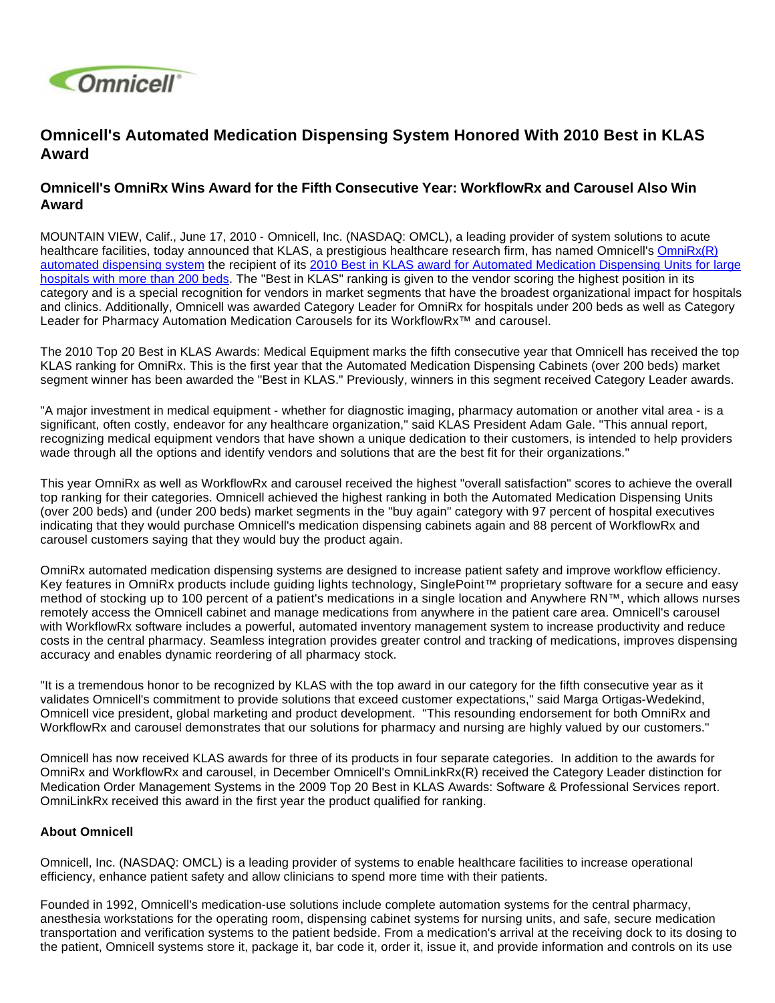

# **Omnicell's Automated Medication Dispensing System Honored With 2010 Best in KLAS Award**

## **Omnicell's OmniRx Wins Award for the Fifth Consecutive Year: WorkflowRx and Carousel Also Win Award**

MOUNTAIN VIEW, Calif., June 17, 2010 - Omnicell, Inc. (NASDAQ: OMCL), a leading provider of system solutions to acute healthcare facilities, today announced that KLAS, a prestigious healthcare research firm, has named Omnicell's OmniRx(R) [automated dispensing system](http://investor.shareholder.com/Solutions/Medication-Dispensing/Automated-Dispensing-Cabinets/Pages/OmniRX.aspx) the recipient of its [2010 Best in KLAS award for Automated Medication Dispensing Units for large](http://www.klasresearch.com/News/PressRoom/2010/top20medicalequipment.aspx)  [hospitals with more than 200 beds](http://www.klasresearch.com/News/PressRoom/2010/top20medicalequipment.aspx). The "Best in KLAS" ranking is given to the vendor scoring the highest position in its category and is a special recognition for vendors in market segments that have the broadest organizational impact for hospitals and clinics. Additionally, Omnicell was awarded Category Leader for OmniRx for hospitals under 200 beds as well as Category Leader for Pharmacy Automation Medication Carousels for its WorkflowRx™ and carousel.

The 2010 Top 20 Best in KLAS Awards: Medical Equipment marks the fifth consecutive year that Omnicell has received the top KLAS ranking for OmniRx. This is the first year that the Automated Medication Dispensing Cabinets (over 200 beds) market segment winner has been awarded the "Best in KLAS." Previously, winners in this segment received Category Leader awards.

"A major investment in medical equipment - whether for diagnostic imaging, pharmacy automation or another vital area - is a significant, often costly, endeavor for any healthcare organization," said KLAS President Adam Gale. "This annual report, recognizing medical equipment vendors that have shown a unique dedication to their customers, is intended to help providers wade through all the options and identify vendors and solutions that are the best fit for their organizations."

This year OmniRx as well as WorkflowRx and carousel received the highest "overall satisfaction" scores to achieve the overall top ranking for their categories. Omnicell achieved the highest ranking in both the Automated Medication Dispensing Units (over 200 beds) and (under 200 beds) market segments in the "buy again" category with 97 percent of hospital executives indicating that they would purchase Omnicell's medication dispensing cabinets again and 88 percent of WorkflowRx and carousel customers saying that they would buy the product again.

OmniRx automated medication dispensing systems are designed to increase patient safety and improve workflow efficiency. Key features in OmniRx products include guiding lights technology, SinglePoint™ proprietary software for a secure and easy method of stocking up to 100 percent of a patient's medications in a single location and Anywhere RN™, which allows nurses remotely access the Omnicell cabinet and manage medications from anywhere in the patient care area. Omnicell's carousel with WorkflowRx software includes a powerful, automated inventory management system to increase productivity and reduce costs in the central pharmacy. Seamless integration provides greater control and tracking of medications, improves dispensing accuracy and enables dynamic reordering of all pharmacy stock.

"It is a tremendous honor to be recognized by KLAS with the top award in our category for the fifth consecutive year as it validates Omnicell's commitment to provide solutions that exceed customer expectations," said Marga Ortigas-Wedekind, Omnicell vice president, global marketing and product development. "This resounding endorsement for both OmniRx and WorkflowRx and carousel demonstrates that our solutions for pharmacy and nursing are highly valued by our customers."

Omnicell has now received KLAS awards for three of its products in four separate categories. In addition to the awards for OmniRx and WorkflowRx and carousel, in December Omnicell's OmniLinkRx(R) received the Category Leader distinction for Medication Order Management Systems in the 2009 Top 20 Best in KLAS Awards: Software & Professional Services report. OmniLinkRx received this award in the first year the product qualified for ranking.

#### **About Omnicell**

Omnicell, Inc. (NASDAQ: OMCL) is a leading provider of systems to enable healthcare facilities to increase operational efficiency, enhance patient safety and allow clinicians to spend more time with their patients.

Founded in 1992, Omnicell's medication-use solutions include complete automation systems for the central pharmacy, anesthesia workstations for the operating room, dispensing cabinet systems for nursing units, and safe, secure medication transportation and verification systems to the patient bedside. From a medication's arrival at the receiving dock to its dosing to the patient, Omnicell systems store it, package it, bar code it, order it, issue it, and provide information and controls on its use